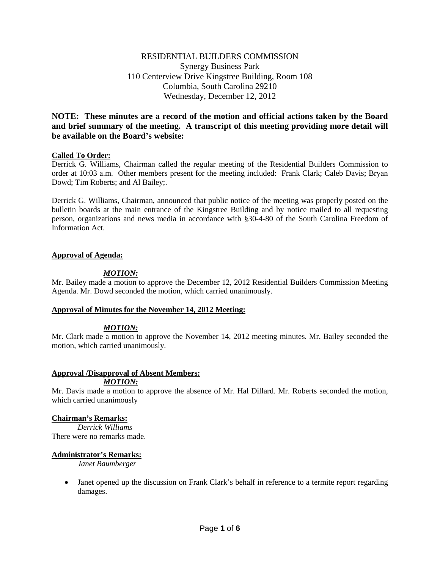# RESIDENTIAL BUILDERS COMMISSION Synergy Business Park 110 Centerview Drive Kingstree Building, Room 108 Columbia, South Carolina 29210 Wednesday, December 12, 2012

# **NOTE: These minutes are a record of the motion and official actions taken by the Board and brief summary of the meeting. A transcript of this meeting providing more detail will be available on the Board's website:**

### **Called To Order:**

Derrick G. Williams, Chairman called the regular meeting of the Residential Builders Commission to order at 10:03 a.m. Other members present for the meeting included: Frank Clark; Caleb Davis; Bryan Dowd; Tim Roberts; and Al Bailey;.

Derrick G. Williams, Chairman, announced that public notice of the meeting was properly posted on the bulletin boards at the main entrance of the Kingstree Building and by notice mailed to all requesting person, organizations and news media in accordance with §30-4-80 of the South Carolina Freedom of Information Act.

### **Approval of Agenda:**

### *MOTION:*

Mr. Bailey made a motion to approve the December 12, 2012 Residential Builders Commission Meeting Agenda. Mr. Dowd seconded the motion, which carried unanimously.

### **Approval of Minutes for the November 14, 2012 Meeting:**

# *MOTION:*

Mr. Clark made a motion to approve the November 14, 2012 meeting minutes. Mr. Bailey seconded the motion, which carried unanimously.

### **Approval /Disapproval of Absent Members:**

*MOTION:*

Mr. Davis made a motion to approve the absence of Mr. Hal Dillard. Mr. Roberts seconded the motion, which carried unanimously

### **Chairman's Remarks:**

*Derrick Williams* There were no remarks made.

### **Administrator's Remarks:**

*Janet Baumberger*

• Janet opened up the discussion on Frank Clark's behalf in reference to a termite report regarding damages.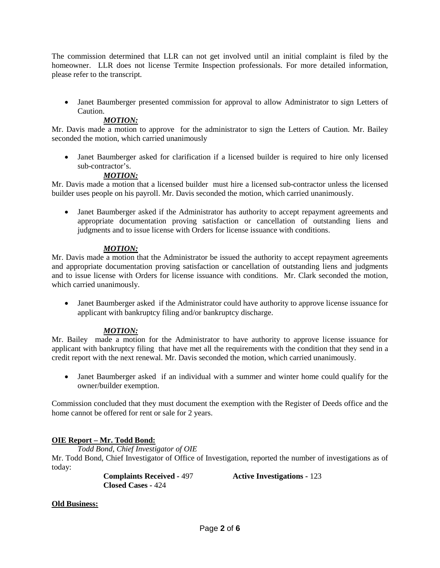The commission determined that LLR can not get involved until an initial complaint is filed by the homeowner. LLR does not license Termite Inspection professionals. For more detailed information, please refer to the transcript.

• Janet Baumberger presented commission for approval to allow Administrator to sign Letters of Caution.

# *MOTION:*

Mr. Davis made a motion to approve for the administrator to sign the Letters of Caution. Mr. Bailey seconded the motion, which carried unanimously

• Janet Baumberger asked for clarification if a licensed builder is required to hire only licensed sub-contractor's.

# *MOTION:*

Mr. Davis made a motion that a licensed builder must hire a licensed sub-contractor unless the licensed builder uses people on his payroll. Mr. Davis seconded the motion, which carried unanimously.

• Janet Baumberger asked if the Administrator has authority to accept repayment agreements and appropriate documentation proving satisfaction or cancellation of outstanding liens and judgments and to issue license with Orders for license issuance with conditions.

# *MOTION:*

Mr. Davis made a motion that the Administrator be issued the authority to accept repayment agreements and appropriate documentation proving satisfaction or cancellation of outstanding liens and judgments and to issue license with Orders for license issuance with conditions. Mr. Clark seconded the motion, which carried unanimously.

• Janet Baumberger asked if the Administrator could have authority to approve license issuance for applicant with bankruptcy filing and/or bankruptcy discharge.

# *MOTION:*

Mr. Bailey made a motion for the Administrator to have authority to approve license issuance for applicant with bankruptcy filing that have met all the requirements with the condition that they send in a credit report with the next renewal. Mr. Davis seconded the motion, which carried unanimously.

• Janet Baumberger asked if an individual with a summer and winter home could qualify for the owner/builder exemption.

Commission concluded that they must document the exemption with the Register of Deeds office and the home cannot be offered for rent or sale for 2 years.

# **OIE Report – Mr. Todd Bond:**

*Todd Bond, Chief Investigator of OIE*

Mr. Todd Bond, Chief Investigator of Office of Investigation, reported the number of investigations as of today:

**Closed Cases -** 424

**Complaints Received -** 497 **Active Investigations -** 123

# **Old Business:**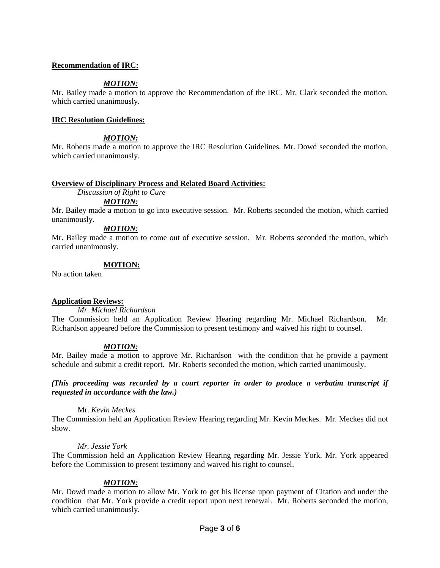### **Recommendation of IRC:**

### *MOTION:*

Mr. Bailey made a motion to approve the Recommendation of the IRC. Mr. Clark seconded the motion, which carried unanimously.

### **IRC Resolution Guidelines:**

# *MOTION:*

Mr. Roberts made a motion to approve the IRC Resolution Guidelines. Mr. Dowd seconded the motion, which carried unanimously.

### **Overview of Disciplinary Process and Related Board Activities:**

*Discussion of Right to Cure*

#### *MOTION:*

Mr. Bailey made a motion to go into executive session. Mr. Roberts seconded the motion, which carried unanimously.

### *MOTION:*

Mr. Bailey made a motion to come out of executive session. Mr. Roberts seconded the motion, which carried unanimously.

#### **MOTION:**

No action taken

### **Application Reviews:**

*Mr. Michael Richardson*

The Commission held an Application Review Hearing regarding Mr. Michael Richardson. Mr. Richardson appeared before the Commission to present testimony and waived his right to counsel.

### *MOTION:*

Mr. Bailey made a motion to approve Mr. Richardson with the condition that he provide a payment schedule and submit a credit report. Mr. Roberts seconded the motion, which carried unanimously.

### *(This proceeding was recorded by a court reporter in order to produce a verbatim transcript if requested in accordance with the law.)*

### Mr. *Kevin Meckes*

The Commission held an Application Review Hearing regarding Mr. Kevin Meckes. Mr. Meckes did not show.

#### *Mr. Jessie York*

The Commission held an Application Review Hearing regarding Mr. Jessie York. Mr. York appeared before the Commission to present testimony and waived his right to counsel.

### *MOTION:*

Mr. Dowd made a motion to allow Mr. York to get his license upon payment of Citation and under the condition that Mr. York provide a credit report upon next renewal. Mr. Roberts seconded the motion, which carried unanimously.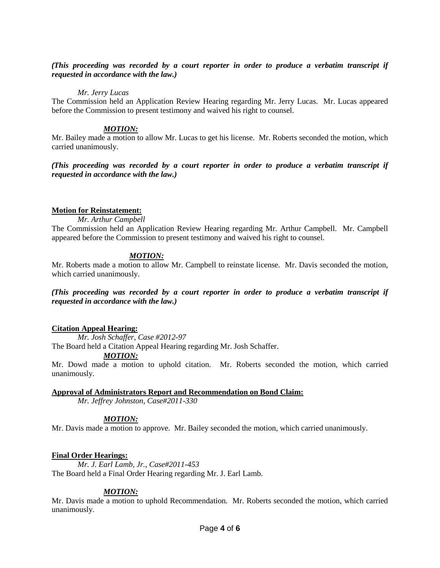### *(This proceeding was recorded by a court reporter in order to produce a verbatim transcript if requested in accordance with the law.)*

### *Mr. Jerry Lucas*

The Commission held an Application Review Hearing regarding Mr. Jerry Lucas. Mr. Lucas appeared before the Commission to present testimony and waived his right to counsel.

# *MOTION:*

Mr. Bailey made a motion to allow Mr. Lucas to get his license. Mr. Roberts seconded the motion, which carried unanimously.

*(This proceeding was recorded by a court reporter in order to produce a verbatim transcript if requested in accordance with the law.)*

### **Motion for Reinstatement:**

*Mr. Arthur Campbell*

The Commission held an Application Review Hearing regarding Mr. Arthur Campbell. Mr. Campbell appeared before the Commission to present testimony and waived his right to counsel.

# *MOTION:*

Mr. Roberts made a motion to allow Mr. Campbell to reinstate license. Mr. Davis seconded the motion, which carried unanimously.

*(This proceeding was recorded by a court reporter in order to produce a verbatim transcript if requested in accordance with the law.)*

# **Citation Appeal Hearing:**

*Mr. Josh Schaffer, Case #2012-97*

The Board held a Citation Appeal Hearing regarding Mr. Josh Schaffer.

### *MOTION:*

Mr. Dowd made a motion to uphold citation. Mr. Roberts seconded the motion, which carried unanimously.

# **Approval of Administrators Report and Recommendation on Bond Claim:**

*Mr. Jeffrey Johnston, Case#2011-330*

# *MOTION:*

Mr. Davis made a motion to approve. Mr. Bailey seconded the motion, which carried unanimously.

# **Final Order Hearings:**

*Mr. J. Earl Lamb, Jr., Case#2011-453* The Board held a Final Order Hearing regarding Mr. J. Earl Lamb.

# *MOTION:*

Mr. Davis made a motion to uphold Recommendation. Mr. Roberts seconded the motion, which carried unanimously.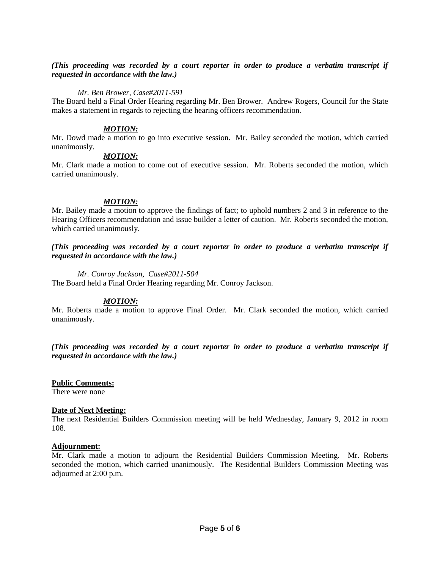### *(This proceeding was recorded by a court reporter in order to produce a verbatim transcript if requested in accordance with the law.)*

### *Mr. Ben Brower, Case#2011-591*

The Board held a Final Order Hearing regarding Mr. Ben Brower. Andrew Rogers, Council for the State makes a statement in regards to rejecting the hearing officers recommendation.

### *MOTION:*

Mr. Dowd made a motion to go into executive session. Mr. Bailey seconded the motion, which carried unanimously.

### *MOTION:*

Mr. Clark made a motion to come out of executive session. Mr. Roberts seconded the motion, which carried unanimously.

#### *MOTION:*

Mr. Bailey made a motion to approve the findings of fact; to uphold numbers 2 and 3 in reference to the Hearing Officers recommendation and issue builder a letter of caution. Mr. Roberts seconded the motion, which carried unanimously.

*(This proceeding was recorded by a court reporter in order to produce a verbatim transcript if requested in accordance with the law.)*

#### *Mr. Conroy Jackson, Case#2011-504*

The Board held a Final Order Hearing regarding Mr. Conroy Jackson.

### *MOTION:*

Mr. Roberts made a motion to approve Final Order. Mr. Clark seconded the motion, which carried unanimously.

*(This proceeding was recorded by a court reporter in order to produce a verbatim transcript if requested in accordance with the law.)*

#### **Public Comments:**

There were none

#### **Date of Next Meeting:**

The next Residential Builders Commission meeting will be held Wednesday, January 9, 2012 in room 108.

#### **Adjournment:**

Mr. Clark made a motion to adjourn the Residential Builders Commission Meeting. Mr. Roberts seconded the motion, which carried unanimously. The Residential Builders Commission Meeting was adjourned at 2:00 p.m.